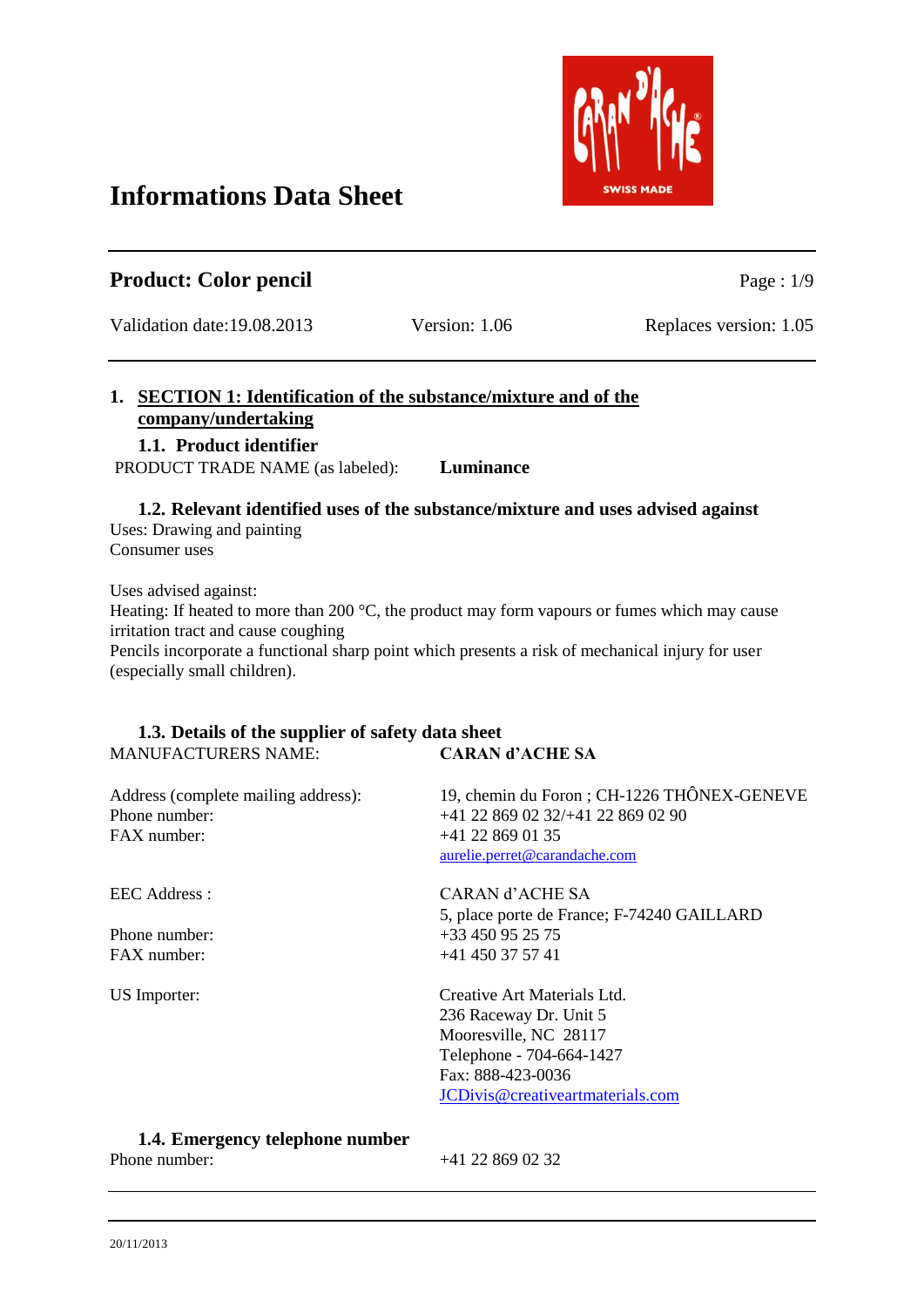# Validation date:19.08.2013 Version: 1.06 Replaces version: 1.05 **1. SECTION 1: Identification of the substance/mixture and of the company/undertaking 1.1. Product identifier** PRODUCT TRADE NAME (as labeled): **Luminance 1.2. Relevant identified uses of the substance/mixture and uses advised against**

Uses: Drawing and painting Consumer uses

Uses advised against:

Heating: If heated to more than 200 °C, the product may form vapours or fumes which may cause irritation tract and cause coughing

Pencils incorporate a functional sharp point which presents a risk of mechanical injury for user (especially small children).

# **1.3. Details of the supplier of safety data sheet** MANUFACTURERS NAME: **CARAN d'ACHE SA**

| Address (complete mailing address):<br>Phone number:<br>FAX number: | 19, chemin du Foron; CH-1226 THÔNEX-GENEVE<br>+41 22 869 02 32/+41 22 869 02 90<br>$+41$ 22 869 01 35<br>aurelie.perret@carandache.com |
|---------------------------------------------------------------------|----------------------------------------------------------------------------------------------------------------------------------------|
| <b>EEC Address:</b>                                                 | CARAN d'ACHE SA                                                                                                                        |
|                                                                     | 5, place porte de France; F-74240 GAILLARD                                                                                             |
| Phone number:                                                       | +33 450 95 25 75                                                                                                                       |
| FAX number:                                                         | $+41$ 450 37 57 41                                                                                                                     |
| <b>US</b> Importer:                                                 | Creative Art Materials Ltd.                                                                                                            |
|                                                                     | 236 Raceway Dr. Unit 5                                                                                                                 |
|                                                                     | Mooresville, NC 28117                                                                                                                  |
|                                                                     | Telephone - 704-664-1427                                                                                                               |
|                                                                     | Fax: 888-423-0036                                                                                                                      |
|                                                                     | JCDivis@creativeartmaterials.com                                                                                                       |
|                                                                     |                                                                                                                                        |

# **1.4. Emergency telephone number**

Phone number:  $+41, 22, 869, 02, 32$ 



**Product:** Color pencil Page : 1/9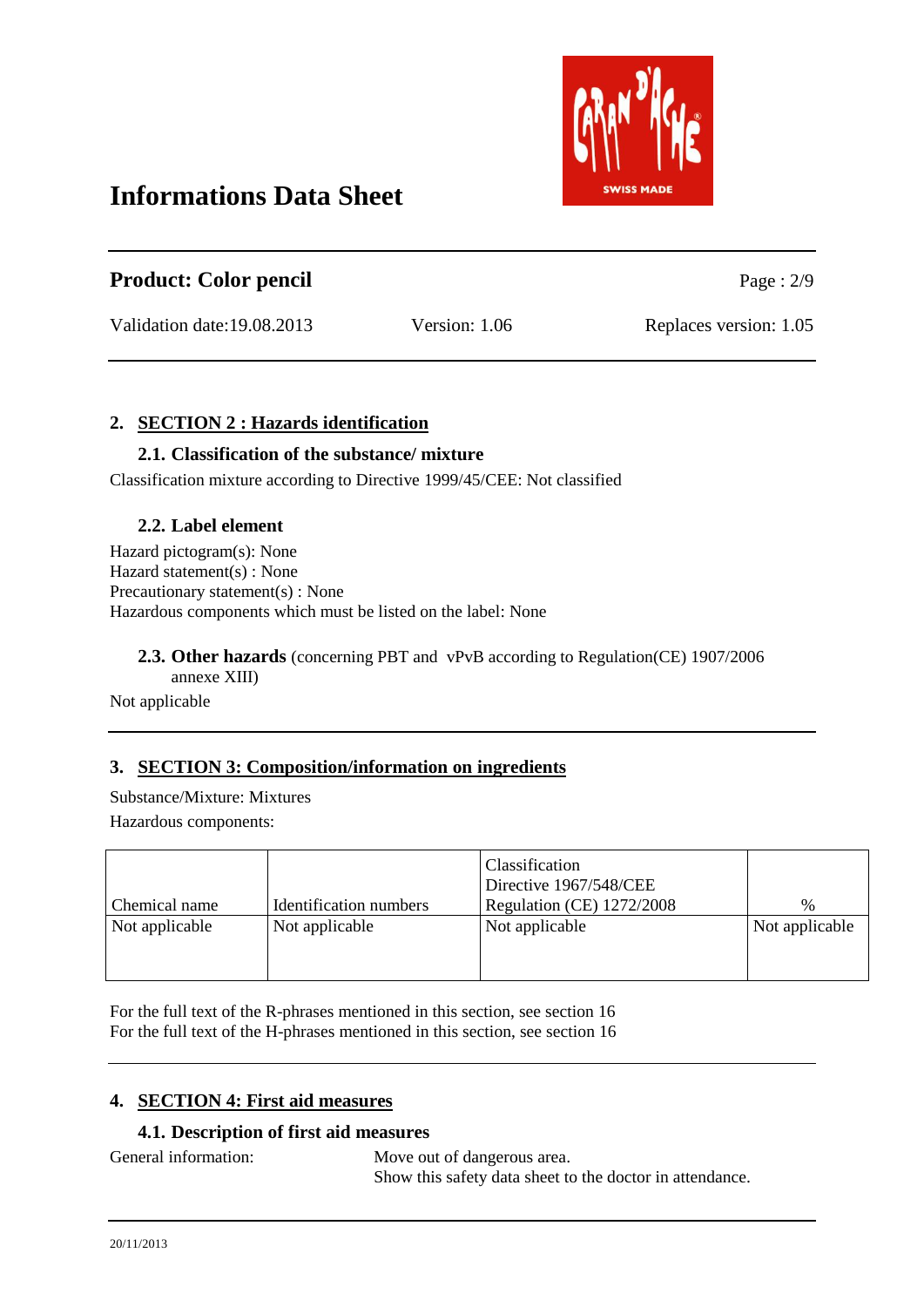

| <b>Product: Color pencil</b> |               | Page : $2/9$           |
|------------------------------|---------------|------------------------|
| Validation date:19.08.2013   | Version: 1.06 | Replaces version: 1.05 |

# **2. SECTION 2 : Hazards identification**

#### **2.1. Classification of the substance/ mixture**

Classification mixture according to Directive 1999/45/CEE: Not classified

#### **2.2. Label element**

Hazard pictogram(s): None Hazard statement(s) : None Precautionary statement(s) : None Hazardous components which must be listed on the label: None

#### **2.3. Other hazards** (concerning PBT and vPvB according to Regulation(CE) 1907/2006 annexe XIII)

#### Not applicable

# **3. SECTION 3: Composition/information on ingredients**

Substance/Mixture: Mixtures Hazardous components:

|                |                        | Classification<br>Directive 1967/548/CEE |                |
|----------------|------------------------|------------------------------------------|----------------|
| Chemical name  | Identification numbers | Regulation (CE) 1272/2008                | $\%$           |
| Not applicable | Not applicable         | Not applicable                           | Not applicable |
|                |                        |                                          |                |
|                |                        |                                          |                |

For the full text of the R-phrases mentioned in this section, see section 16 For the full text of the H-phrases mentioned in this section, see section 16

#### **4. SECTION 4: First aid measures**

#### **4.1. Description of first aid measures**

General information: Move out of dangerous area. Show this safety data sheet to the doctor in attendance.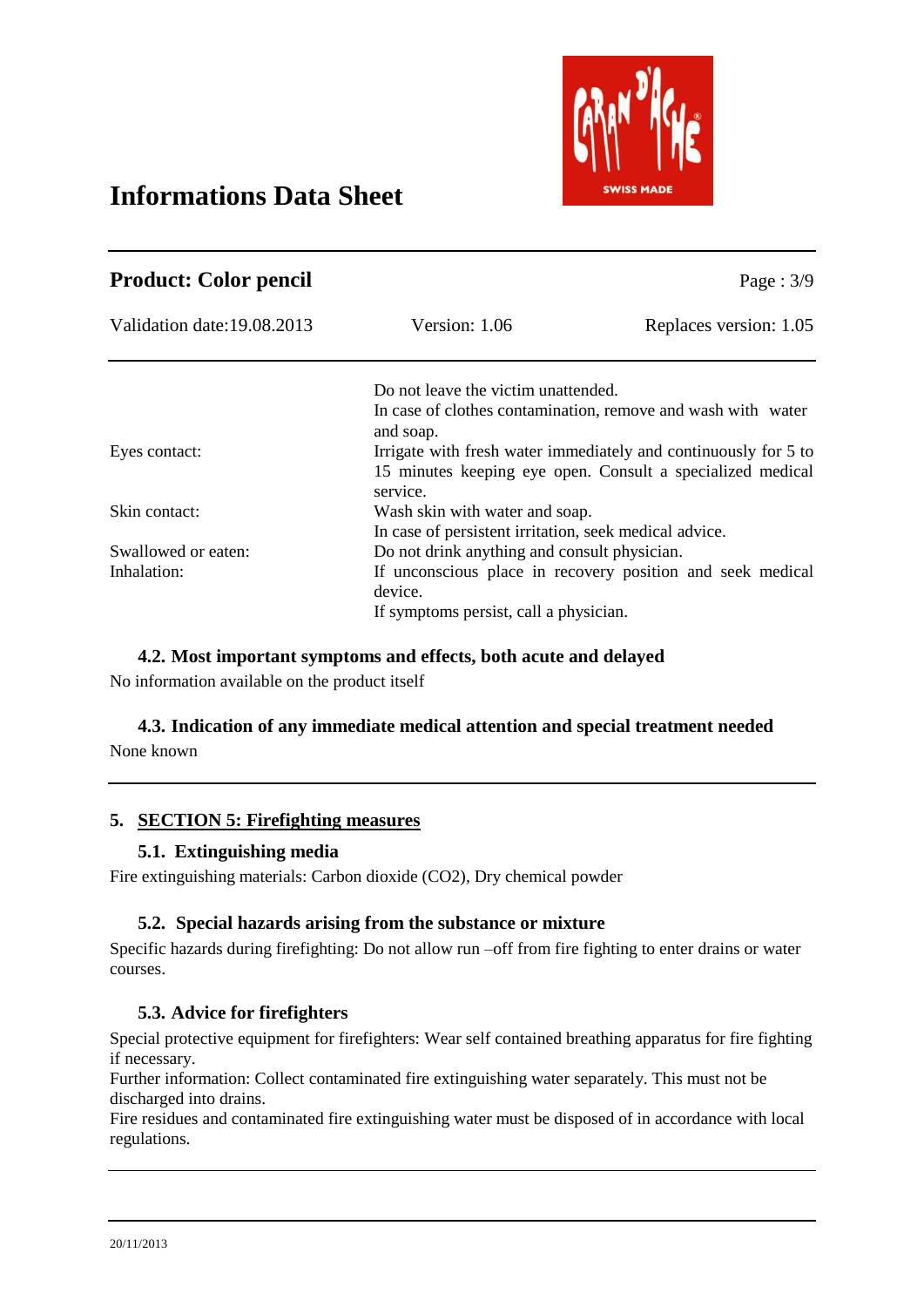

| <b>Product: Color pencil</b> |                                                                                                                                           | Page : $3/9$                                                 |
|------------------------------|-------------------------------------------------------------------------------------------------------------------------------------------|--------------------------------------------------------------|
| Validation date: 19.08.2013  | Version: 1.06                                                                                                                             | Replaces version: 1.05                                       |
|                              | Do not leave the victim unattended.                                                                                                       |                                                              |
|                              | and soap.                                                                                                                                 | In case of clothes contamination, remove and wash with water |
| Eyes contact:                | Irrigate with fresh water immediately and continuously for 5 to<br>15 minutes keeping eye open. Consult a specialized medical<br>service. |                                                              |
| Skin contact:                | Wash skin with water and soap.                                                                                                            |                                                              |
|                              | In case of persistent irritation, seek medical advice.                                                                                    |                                                              |
| Swallowed or eaten:          | Do not drink anything and consult physician.                                                                                              |                                                              |
| Inhalation:                  |                                                                                                                                           | If unconscious place in recovery position and seek medical   |
|                              | device.                                                                                                                                   |                                                              |
|                              | If symptoms persist, call a physician.                                                                                                    |                                                              |

#### **4.2. Most important symptoms and effects, both acute and delayed**

No information available on the product itself

# **4.3. Indication of any immediate medical attention and special treatment needed**

None known

# **5. SECTION 5: Firefighting measures**

#### **5.1. Extinguishing media**

Fire extinguishing materials: Carbon dioxide (CO2), Dry chemical powder

#### **5.2. Special hazards arising from the substance or mixture**

Specific hazards during firefighting: Do not allow run –off from fire fighting to enter drains or water courses.

#### **5.3. Advice for firefighters**

Special protective equipment for firefighters: Wear self contained breathing apparatus for fire fighting if necessary.

Further information: Collect contaminated fire extinguishing water separately. This must not be discharged into drains.

Fire residues and contaminated fire extinguishing water must be disposed of in accordance with local regulations.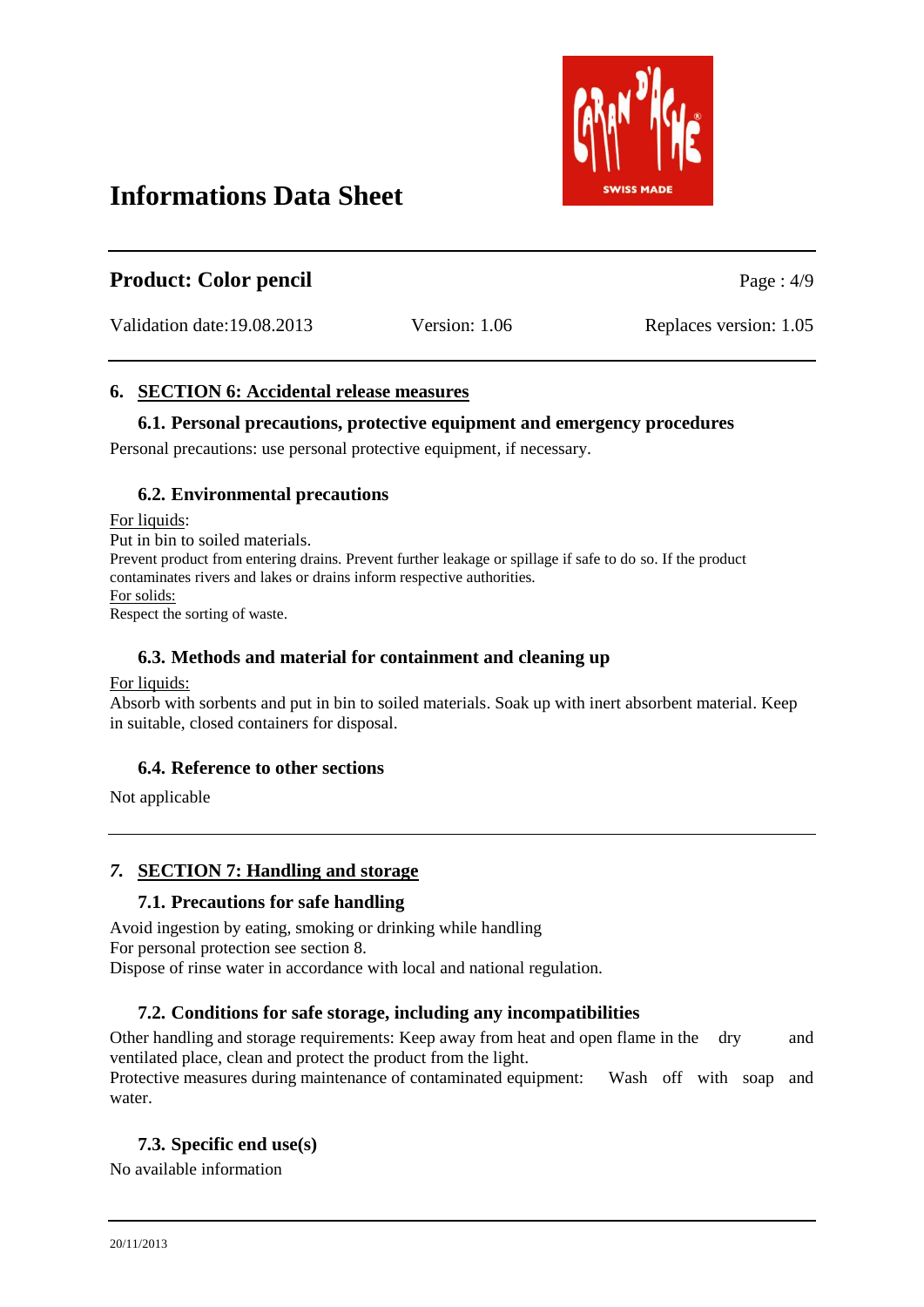

| <b>Product: Color pencil</b> |               | Page: $4/9$            |
|------------------------------|---------------|------------------------|
| Validation date:19.08.2013   | Version: 1.06 | Replaces version: 1.05 |

# **6. SECTION 6: Accidental release measures**

#### **6.1. Personal precautions, protective equipment and emergency procedures**

Personal precautions: use personal protective equipment, if necessary.

#### **6.2. Environmental precautions**

For liquids: Put in bin to soiled materials. Prevent product from entering drains. Prevent further leakage or spillage if safe to do so. If the product contaminates rivers and lakes or drains inform respective authorities. For solids: Respect the sorting of waste.

### **6.3. Methods and material for containment and cleaning up**

#### For liquids:

Absorb with sorbents and put in bin to soiled materials. Soak up with inert absorbent material. Keep in suitable, closed containers for disposal.

# **6.4. Reference to other sections**

Not applicable

# *7.* **SECTION 7: Handling and storage**

#### **7.1. Precautions for safe handling**

Avoid ingestion by eating, smoking or drinking while handling For personal protection see section 8. Dispose of rinse water in accordance with local and national regulation.

# **7.2. Conditions for safe storage, including any incompatibilities**

Other handling and storage requirements: Keep away from heat and open flame in the dry and ventilated place, clean and protect the product from the light.

Protective measures during maintenance of contaminated equipment: Wash off with soap and water.

# **7.3. Specific end use(s)**

No available information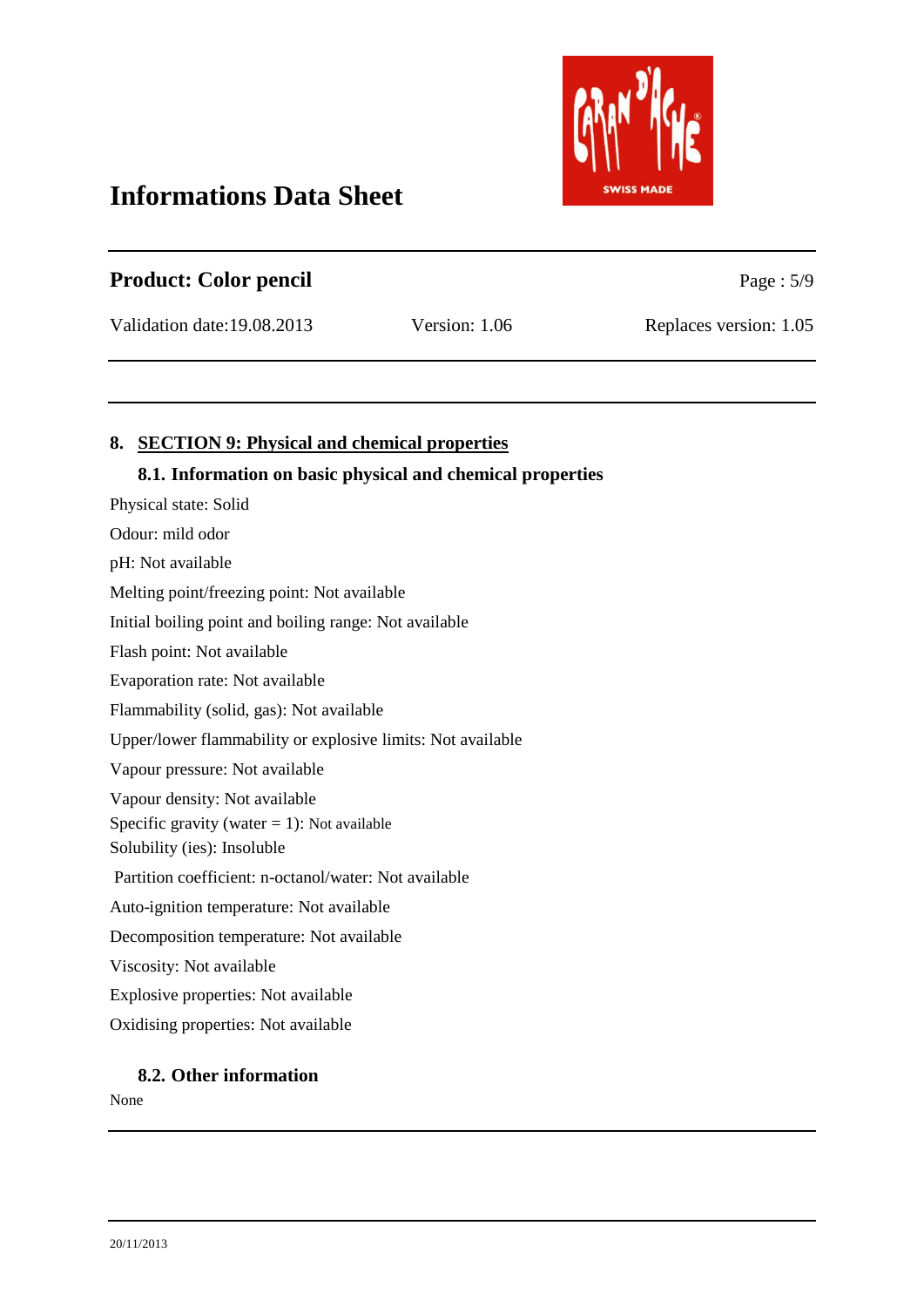

| <b>Product: Color pencil</b> |               | Page : $5/9$           |
|------------------------------|---------------|------------------------|
| Validation date: 19.08.2013  | Version: 1.06 | Replaces version: 1.05 |

# **8. SECTION 9: Physical and chemical properties**

#### **8.1. Information on basic physical and chemical properties**

Physical state: Solid Odour: mild odor pH: Not available Melting point/freezing point: Not available Initial boiling point and boiling range: Not available Flash point: Not available Evaporation rate: Not available Flammability (solid, gas): Not available Upper/lower flammability or explosive limits: Not available Vapour pressure: Not available Vapour density: Not available Specific gravity (water  $= 1$ ): Not available Solubility (ies): Insoluble Partition coefficient: n-octanol/water: Not available Auto-ignition temperature: Not available Decomposition temperature: Not available Viscosity: Not available Explosive properties: Not available Oxidising properties: Not available

#### **8.2. Other information**

None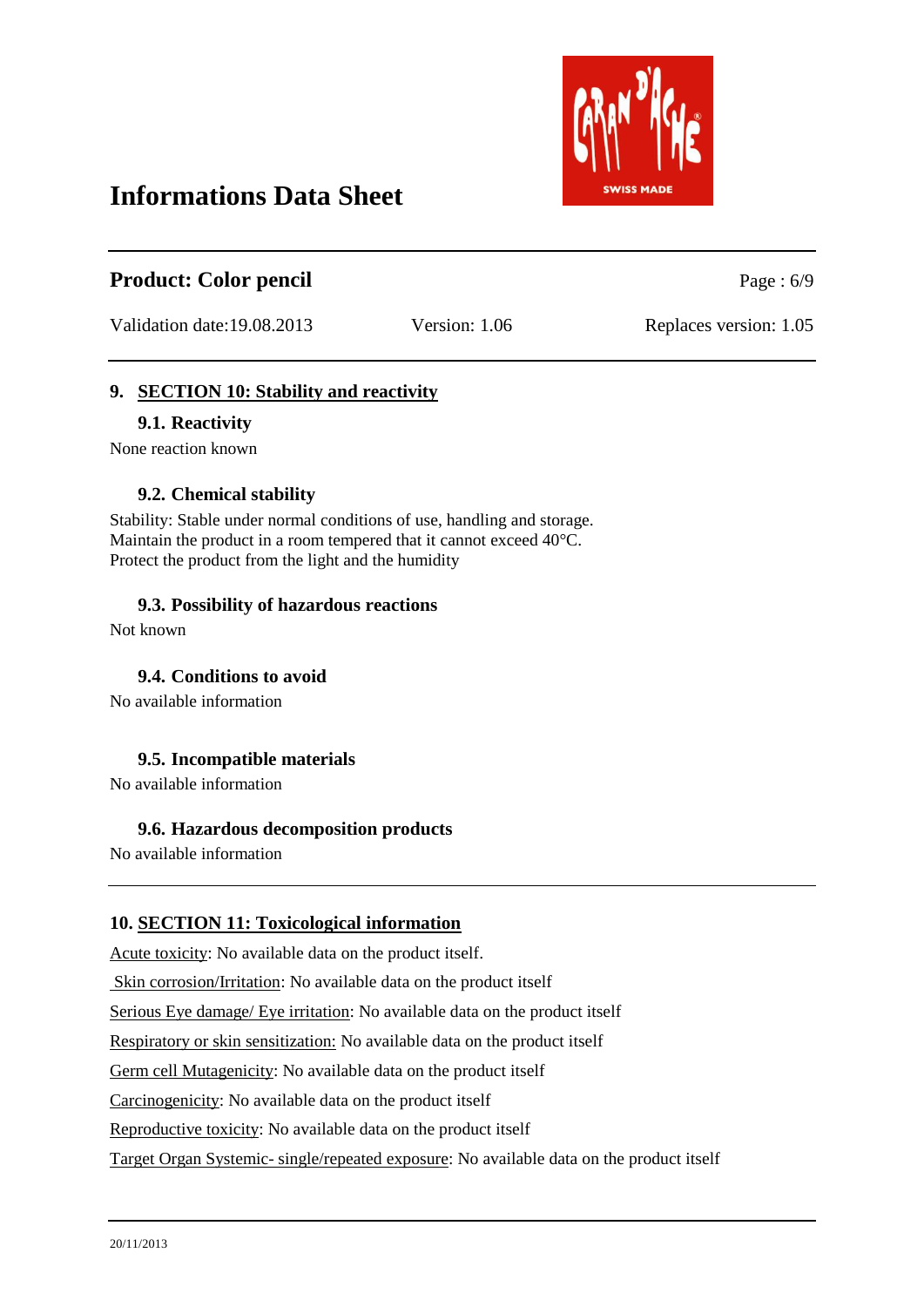

# **Product:** Color pencil Page : 6/9

Validation date:19.08.2013 Version: 1.06 Replaces version: 1.05

# **9. SECTION 10: Stability and reactivity**

#### **9.1. Reactivity**

None reaction known

#### **9.2. Chemical stability**

Stability: Stable under normal conditions of use, handling and storage. Maintain the product in a room tempered that it cannot exceed 40°C. Protect the product from the light and the humidity

#### **9.3. Possibility of hazardous reactions**

Not known

**9.4. Conditions to avoid**

No available information

#### **9.5. Incompatible materials**

No available information

#### **9.6. Hazardous decomposition products**

No available information

# **10. SECTION 11: Toxicological information**

Acute toxicity: No available data on the product itself.

Skin corrosion/Irritation: No available data on the product itself

Serious Eye damage/ Eye irritation: No available data on the product itself

Respiratory or skin sensitization: No available data on the product itself

Germ cell Mutagenicity: No available data on the product itself

Carcinogenicity: No available data on the product itself

Reproductive toxicity: No available data on the product itself

Target Organ Systemic- single/repeated exposure: No available data on the product itself

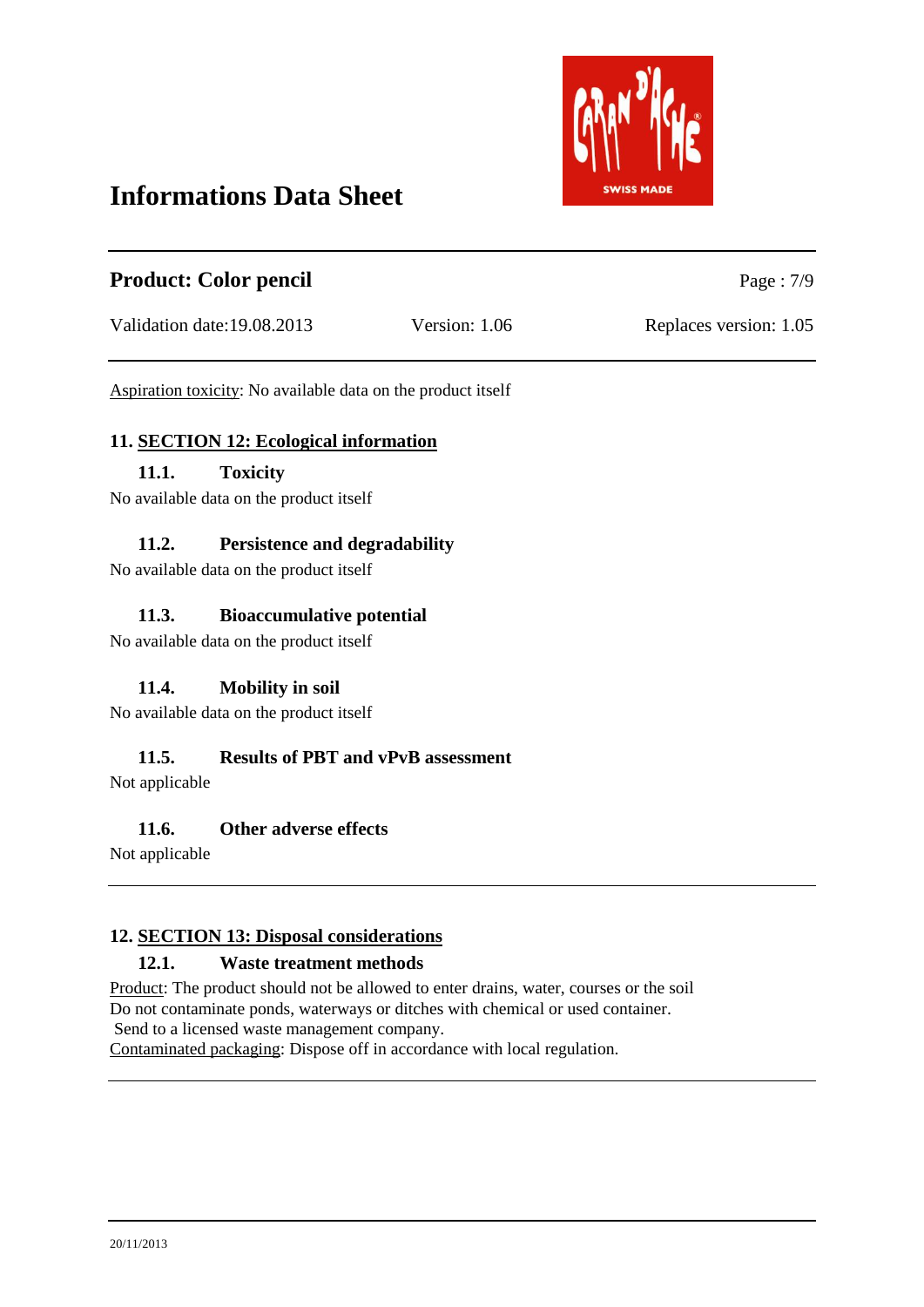

| <b>Product: Color pencil</b> |               | Page: $7/9$            |
|------------------------------|---------------|------------------------|
| Validation date:19.08.2013   | Version: 1.06 | Replaces version: 1.05 |

Aspiration toxicity: No available data on the product itself

#### **11. SECTION 12: Ecological information**

### **11.1. Toxicity**

No available data on the product itself

#### **11.2. Persistence and degradability**

No available data on the product itself

#### **11.3. Bioaccumulative potential**

No available data on the product itself

# **11.4. Mobility in soil**

No available data on the product itself

# **11.5. Results of PBT and vPvB assessment**

Not applicable

#### **11.6. Other adverse effects**

Not applicable

# **12. SECTION 13: Disposal considerations**

#### **12.1. Waste treatment methods**

Product: The product should not be allowed to enter drains, water, courses or the soil Do not contaminate ponds, waterways or ditches with chemical or used container. Send to a licensed waste management company. Contaminated packaging: Dispose off in accordance with local regulation.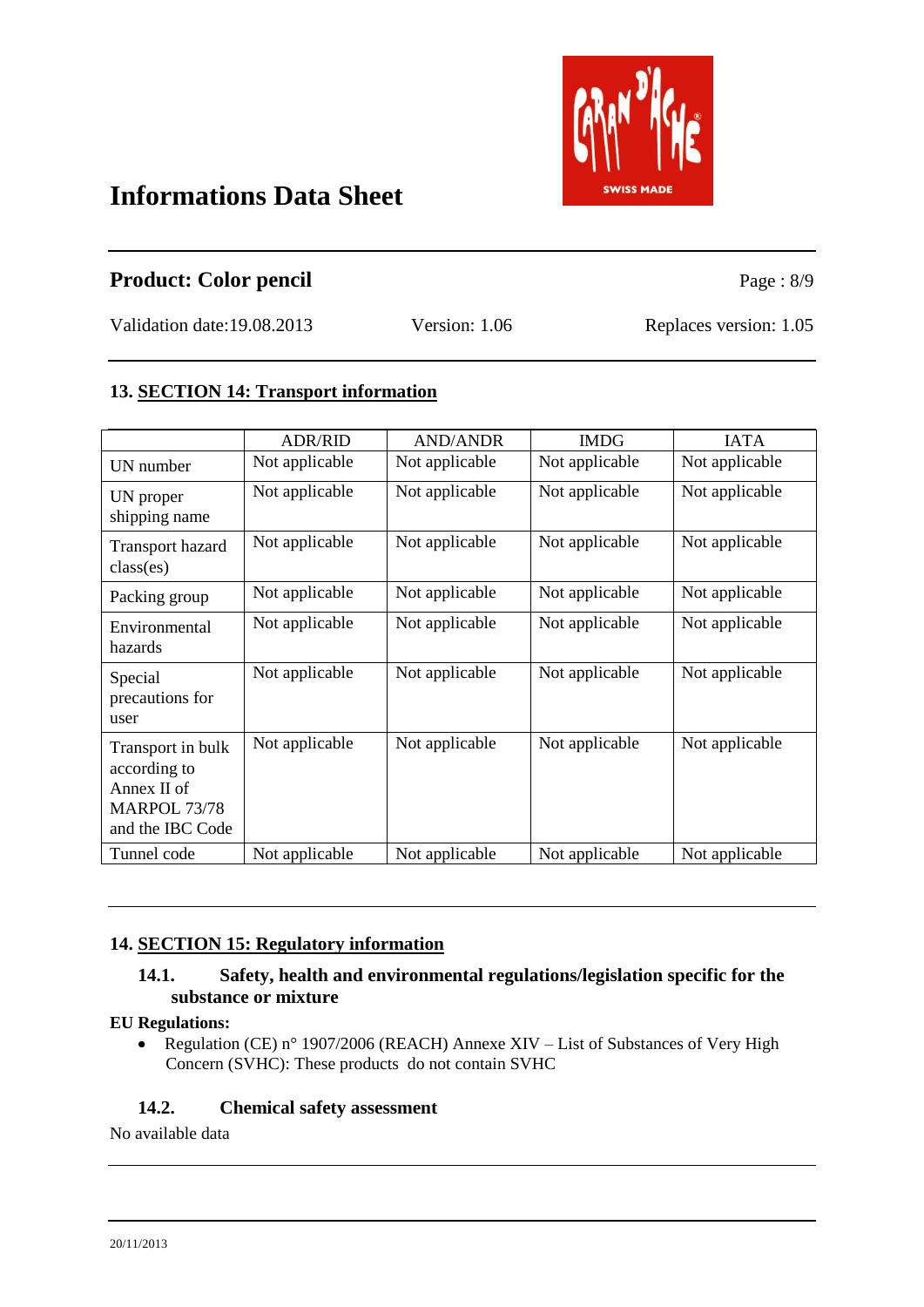

# **Product:** Color pencil Page : 8/9

Validation date:19.08.2013 Version: 1.06 Replaces version: 1.05

# **13. SECTION 14: Transport information**

|                                                                                             | <b>ADR/RID</b> | <b>AND/ANDR</b> | <b>IMDG</b>    | <b>IATA</b>    |
|---------------------------------------------------------------------------------------------|----------------|-----------------|----------------|----------------|
| UN number                                                                                   | Not applicable | Not applicable  | Not applicable | Not applicable |
| UN proper<br>shipping name                                                                  | Not applicable | Not applicable  | Not applicable | Not applicable |
| <b>Transport hazard</b><br>class(es)                                                        | Not applicable | Not applicable  | Not applicable | Not applicable |
| Packing group                                                                               | Not applicable | Not applicable  | Not applicable | Not applicable |
| Environmental<br>hazards                                                                    | Not applicable | Not applicable  | Not applicable | Not applicable |
| Special<br>precautions for<br>user                                                          | Not applicable | Not applicable  | Not applicable | Not applicable |
| Transport in bulk<br>according to<br>Annex II of<br><b>MARPOL 73/78</b><br>and the IBC Code | Not applicable | Not applicable  | Not applicable | Not applicable |
| Tunnel code                                                                                 | Not applicable | Not applicable  | Not applicable | Not applicable |

# **14. SECTION 15: Regulatory information**

# **14.1. Safety, health and environmental regulations/legislation specific for the substance or mixture**

# **EU Regulations:**

Regulation (CE) n° 1907/2006 (REACH) Annexe XIV – List of Substances of Very High  $\bullet$ Concern (SVHC): These products do not contain SVHC

# **14.2. Chemical safety assessment**

No available data